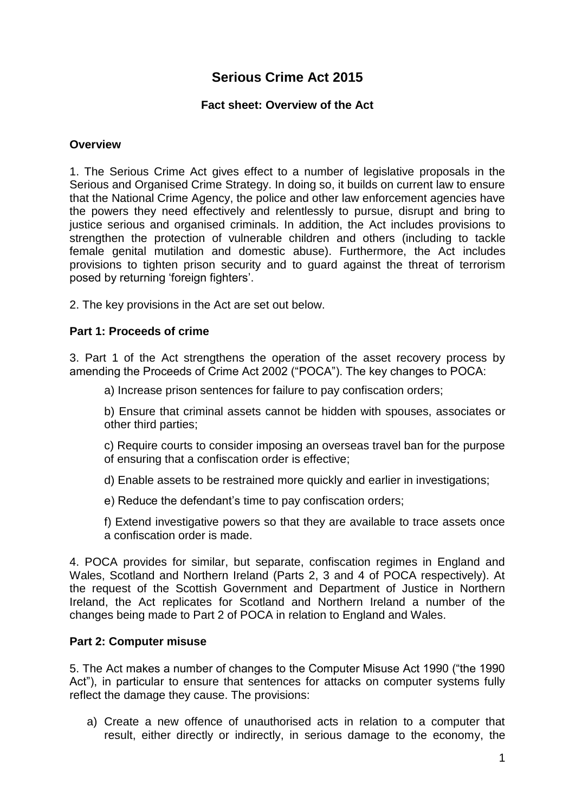# **Serious Crime Act 2015**

### **Fact sheet: Overview of the Act**

### **Overview**

1. The Serious Crime Act gives effect to a number of legislative proposals in the Serious and Organised Crime Strategy. In doing so, it builds on current law to ensure that the National Crime Agency, the police and other law enforcement agencies have the powers they need effectively and relentlessly to pursue, disrupt and bring to justice serious and organised criminals. In addition, the Act includes provisions to strengthen the protection of vulnerable children and others (including to tackle female genital mutilation and domestic abuse). Furthermore, the Act includes provisions to tighten prison security and to guard against the threat of terrorism posed by returning 'foreign fighters'.

2. The key provisions in the Act are set out below.

#### **Part 1: Proceeds of crime**

3. Part 1 of the Act strengthens the operation of the asset recovery process by amending the Proceeds of Crime Act 2002 ("POCA"). The key changes to POCA:

a) Increase prison sentences for failure to pay confiscation orders;

b) Ensure that criminal assets cannot be hidden with spouses, associates or other third parties;

c) Require courts to consider imposing an overseas travel ban for the purpose of ensuring that a confiscation order is effective;

d) Enable assets to be restrained more quickly and earlier in investigations;

e) Reduce the defendant's time to pay confiscation orders;

f) Extend investigative powers so that they are available to trace assets once a confiscation order is made.

4. POCA provides for similar, but separate, confiscation regimes in England and Wales, Scotland and Northern Ireland (Parts 2, 3 and 4 of POCA respectively). At the request of the Scottish Government and Department of Justice in Northern Ireland, the Act replicates for Scotland and Northern Ireland a number of the changes being made to Part 2 of POCA in relation to England and Wales.

### **Part 2: Computer misuse**

5. The Act makes a number of changes to the Computer Misuse Act 1990 ("the 1990 Act"), in particular to ensure that sentences for attacks on computer systems fully reflect the damage they cause. The provisions:

a) Create a new offence of unauthorised acts in relation to a computer that result, either directly or indirectly, in serious damage to the economy, the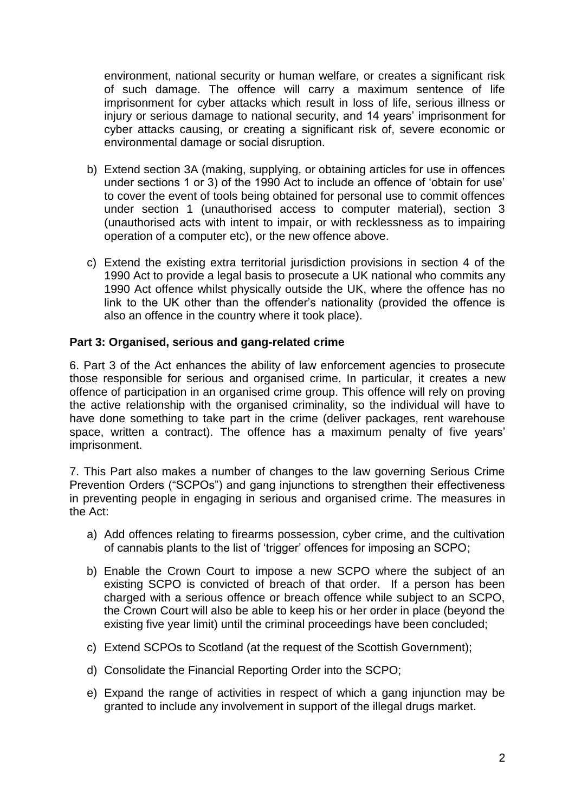environment, national security or human welfare, or creates a significant risk of such damage. The offence will carry a maximum sentence of life imprisonment for cyber attacks which result in loss of life, serious illness or injury or serious damage to national security, and 14 years' imprisonment for cyber attacks causing, or creating a significant risk of, severe economic or environmental damage or social disruption.

- b) Extend section 3A (making, supplying, or obtaining articles for use in offences under sections 1 or 3) of the 1990 Act to include an offence of 'obtain for use' to cover the event of tools being obtained for personal use to commit offences under section 1 (unauthorised access to computer material), section 3 (unauthorised acts with intent to impair, or with recklessness as to impairing operation of a computer etc), or the new offence above.
- c) Extend the existing extra territorial jurisdiction provisions in section 4 of the 1990 Act to provide a legal basis to prosecute a UK national who commits any 1990 Act offence whilst physically outside the UK, where the offence has no link to the UK other than the offender's nationality (provided the offence is also an offence in the country where it took place).

## **Part 3: Organised, serious and gang-related crime**

6. Part 3 of the Act enhances the ability of law enforcement agencies to prosecute those responsible for serious and organised crime. In particular, it creates a new offence of participation in an organised crime group. This offence will rely on proving the active relationship with the organised criminality, so the individual will have to have done something to take part in the crime (deliver packages, rent warehouse space, written a contract). The offence has a maximum penalty of five years' imprisonment.

7. This Part also makes a number of changes to the law governing Serious Crime Prevention Orders ("SCPOs") and gang injunctions to strengthen their effectiveness in preventing people in engaging in serious and organised crime. The measures in the Act:

- a) Add offences relating to firearms possession, cyber crime, and the cultivation of cannabis plants to the list of 'trigger' offences for imposing an SCPO;
- b) Enable the Crown Court to impose a new SCPO where the subject of an existing SCPO is convicted of breach of that order. If a person has been charged with a serious offence or breach offence while subject to an SCPO, the Crown Court will also be able to keep his or her order in place (beyond the existing five year limit) until the criminal proceedings have been concluded;
- c) Extend SCPOs to Scotland (at the request of the Scottish Government);
- d) Consolidate the Financial Reporting Order into the SCPO;
- e) Expand the range of activities in respect of which a gang injunction may be granted to include any involvement in support of the illegal drugs market.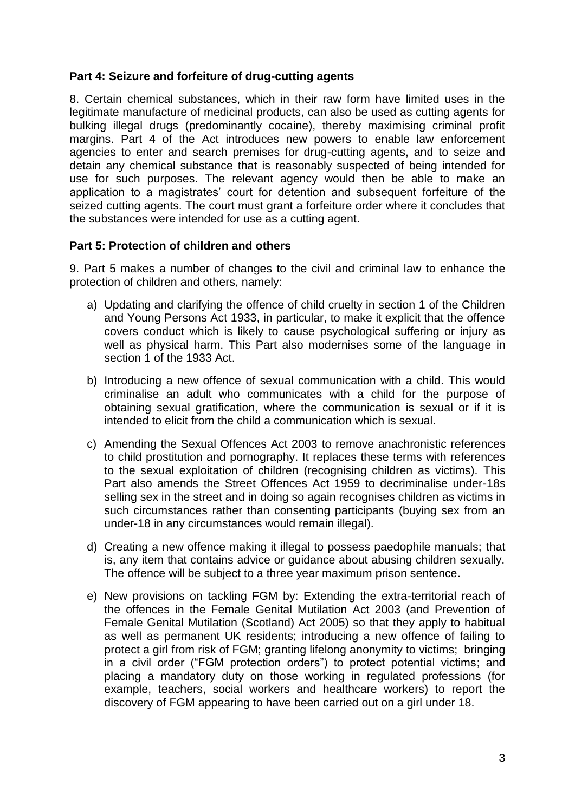### **Part 4: Seizure and forfeiture of drug-cutting agents**

8. Certain chemical substances, which in their raw form have limited uses in the legitimate manufacture of medicinal products, can also be used as cutting agents for bulking illegal drugs (predominantly cocaine), thereby maximising criminal profit margins. Part 4 of the Act introduces new powers to enable law enforcement agencies to enter and search premises for drug-cutting agents, and to seize and detain any chemical substance that is reasonably suspected of being intended for use for such purposes. The relevant agency would then be able to make an application to a magistrates' court for detention and subsequent forfeiture of the seized cutting agents. The court must grant a forfeiture order where it concludes that the substances were intended for use as a cutting agent.

## **Part 5: Protection of children and others**

9. Part 5 makes a number of changes to the civil and criminal law to enhance the protection of children and others, namely:

- a) Updating and clarifying the offence of child cruelty in section 1 of the Children and Young Persons Act 1933, in particular, to make it explicit that the offence covers conduct which is likely to cause psychological suffering or injury as well as physical harm. This Part also modernises some of the language in section 1 of the 1933 Act.
- b) Introducing a new offence of sexual communication with a child. This would criminalise an adult who communicates with a child for the purpose of obtaining sexual gratification, where the communication is sexual or if it is intended to elicit from the child a communication which is sexual.
- c) Amending the Sexual Offences Act 2003 to remove anachronistic references to child prostitution and pornography. It replaces these terms with references to the sexual exploitation of children (recognising children as victims). This Part also amends the Street Offences Act 1959 to decriminalise under-18s selling sex in the street and in doing so again recognises children as victims in such circumstances rather than consenting participants (buying sex from an under-18 in any circumstances would remain illegal).
- d) Creating a new offence making it illegal to possess paedophile manuals; that is, any item that contains advice or guidance about abusing children sexually. The offence will be subject to a three year maximum prison sentence.
- e) New provisions on tackling FGM by: Extending the extra-territorial reach of the offences in the Female Genital Mutilation Act 2003 (and Prevention of Female Genital Mutilation (Scotland) Act 2005) so that they apply to habitual as well as permanent UK residents; introducing a new offence of failing to protect a girl from risk of FGM; granting lifelong anonymity to victims; bringing in a civil order ("FGM protection orders") to protect potential victims; and placing a mandatory duty on those working in regulated professions (for example, teachers, social workers and healthcare workers) to report the discovery of FGM appearing to have been carried out on a girl under 18.